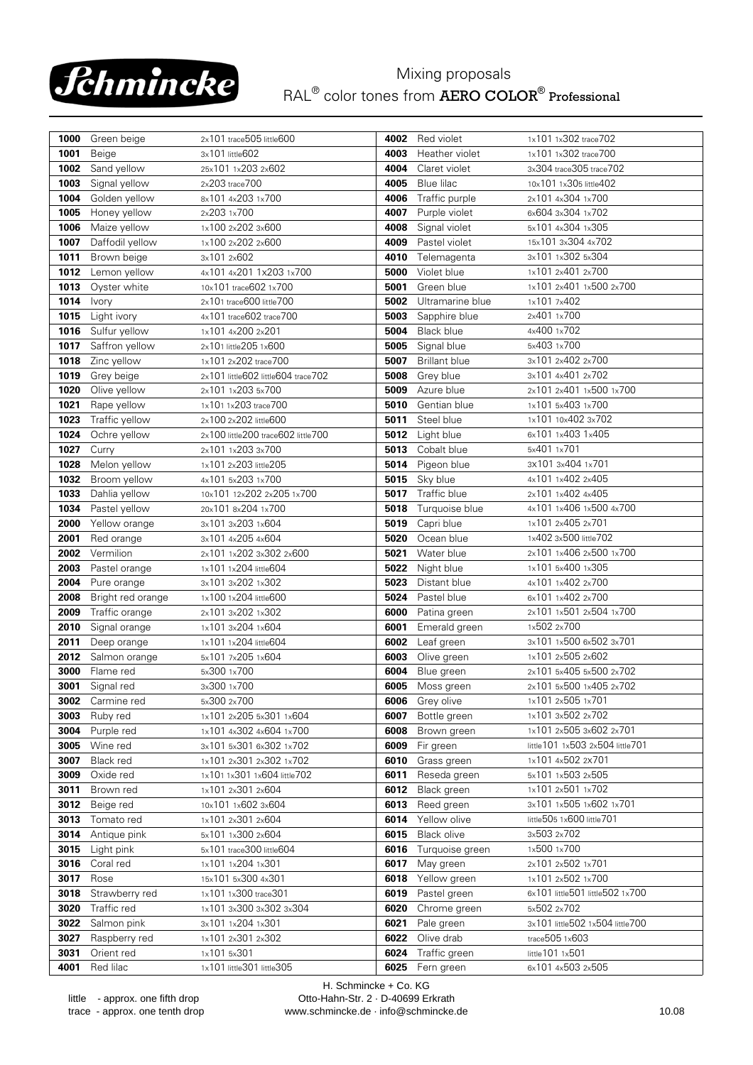

## Mixing proposals RAL<sup>®</sup> color tones from **AERO COLOR<sup>®</sup> Professional**

| 1000         | Green beige            | 2x101 trace505 little600                |              | 4002 Red violet             | 1x101 1x302 trace702                                       |
|--------------|------------------------|-----------------------------------------|--------------|-----------------------------|------------------------------------------------------------|
| 1001         | Beige                  | 3x101 little602                         | 4003         | Heather violet              | 1x101 1x302 trace700                                       |
| 1002         | Sand yellow            | 25x101 1x203 2x602                      | 4004         | Claret violet               | 3x304 trace305 trace702                                    |
| 1003         | Signal yellow          | 2x203 trace700                          | 4005         | Blue lilac                  | 10x101 1x305 little402                                     |
| 1004         | Golden yellow          | 8x101 4x203 1x700                       | 4006         | Traffic purple              | 2x101 4x304 1x700                                          |
| 1005         | Honey yellow           | 2x203 1x700                             | 4007         | Purple violet               | 6x604 3x304 1x702                                          |
| 1006         | Maize yellow           | 1x100 2x202 3x600                       | 4008         | Signal violet               | 5x101 4x304 1x305                                          |
| 1007         | Daffodil yellow        | 1x100 2x202 2x600                       | 4009         | Pastel violet               | 15x101 3x304 4x702                                         |
| 1011         | Brown beige            | 3x101 2x602                             | 4010         | Telemagenta                 | 3x101 1x302 5x304                                          |
| 1012         | Lemon yellow           | 4x101 4x201 1x203 1x700                 | 5000         | Violet blue                 | 1x101 2x401 2x700                                          |
| 1013         | Oyster white           | 10x101 trace602 1x700                   | 5001         | Green blue                  | 1x101 2x401 1x500 2x700                                    |
| 1014         | Ivory                  | 2x101 trace600 little700                | 5002         | Ultramarine blue            | 1x101 7x402                                                |
| 1015         | Light ivory            | 4x101 trace602 trace700                 | 5003         | Sapphire blue               | 2x401 1x700                                                |
| 1016         | Sulfur yellow          | 1x101 4x200 2x201                       | 5004         | <b>Black blue</b>           | 4x400 1x702                                                |
| 1017         | Saffron yellow         | 2x101 little205 1x600                   | 5005         | Signal blue                 | 5x403 1x700                                                |
| 1018         | Zinc yellow            | 1x101 2x202 trace700                    | 5007         | <b>Brillant blue</b>        | 3x101 2x402 2x700                                          |
| 1019         | Grey beige             | 2x101 little602 little604 trace702      | 5008         | Grey blue                   | 3x101 4x401 2x702                                          |
| 1020         | Olive yellow           | 2x101 1x203 5x700                       | 5009         | Azure blue                  | 2x101 2x401 1x500 1x700                                    |
| 1021         | Rape yellow            | 1x101 1x203 trace700                    | 5010         | Gentian blue                | 1x101 5x403 1x700                                          |
| 1023         | Traffic yellow         | 2x100 2x202 little600                   | 5011         | Steel blue                  | 1x101 10x402 3x702                                         |
| 1024         | Ochre yellow           | 2x100 little200 trace602 little700      | 5012         | Light blue                  | 6x101 1x403 1x405                                          |
| 1027         | Curry                  | 2x101 1x203 3x700                       | 5013         | Cobalt blue                 | 5x401 1x701                                                |
| 1028         | Melon yellow           | 1x101 2x203 little205                   | 5014         | Pigeon blue                 | 3x101 3x404 1x701                                          |
| 1032         | Broom yellow           | 4x101 5x203 1x700                       | 5015         | Sky blue                    | 4x101 1x402 2x405                                          |
| 1033         | Dahlia yellow          | 10x101 12x202 2x205 1x700               | 5017         | Traffic blue                | 2x101 1x402 4x405                                          |
| 1034         | Pastel yellow          | 20x101 8x204 1x700                      | 5018         | Turquoise blue              | 4x101 1x406 1x500 4x700                                    |
| 2000         | Yellow orange          | 3x101 3x203 1x604                       | 5019         | Capri blue                  | 1x101 2x405 2x701                                          |
| 2001         | Red orange             | 3x101 4x205 4x604                       | 5020         | Ocean blue                  | 1x402 3x500 little702                                      |
| 2002         | Vermilion              | 2x101 1x202 3x302 2x600                 | 5021         | Water blue                  | 2x101 1x406 2x500 1x700                                    |
| 2003         | Pastel orange          | 1x101 1x204 little604                   | 5022         | Night blue                  | 1x101 5x400 1x305                                          |
| 2004         | Pure orange            | 3x101 3x202 1x302                       | 5023         | Distant blue                | 4x101 1x402 2x700                                          |
| 2008         | Bright red orange      | 1x100 1x204 little600                   | 5024         | Pastel blue                 | 6x101 1x402 2x700                                          |
| 2009         | Traffic orange         | 2x101 3x202 1x302                       | 6000         | Patina green                | 2x101 1x501 2x504 1x700                                    |
| 2010         | Signal orange          | 1x101 3x204 1x604                       | 6001         | Emerald green               | 1x502 2x700                                                |
| 2011         | Deep orange            | 1x101 1x204 little604                   | 6002         | Leaf green                  | 3x101 1x500 6x502 3x701                                    |
| 2012         | Salmon orange          | 5x101 7x205 1x604                       | 6003         | Olive green                 | 1x101 2x505 2x602                                          |
| 3000         | Flame red              | 5x300 1x700                             | 6004         | Blue green                  | 2x101 5x405 5x500 2x702                                    |
| 3001         | Signal red             | 3x300 1x700                             | 6005         | Moss green                  | 2x101 5x500 1x405 2x702                                    |
| 3002         | Carmine red            | 5x300 2x700                             |              | 6006 Grey olive             | 1x101 2x505 1x701<br>1x101 3x502 2x702                     |
| 3003         | Ruby red               | 1x101 2x205 5x301 1x604                 | 6007         | Bottle green                |                                                            |
| 3004         | Purple red             | 1x101 4x302 4x604 1x700                 | 6008         | Brown green                 | 1x101 2x505 3x602 2x701<br>little101 1x503 2x504 little701 |
| 3005         | Wine red<br>Black red  | 3x101 5x301 6x302 1x702                 | 6009         | Fir green                   | 1x101 4x502 2x701                                          |
| 3007         | Oxide red              | 1x101 2x301 2x302 1x702                 | 6010         | Grass green<br>Reseda green |                                                            |
| 3009         |                        | 1x101 1x301 1x604 little702             | 6011         |                             | 5x101 1x503 2x505<br>1x101 2x501 1x702                     |
| 3011<br>3012 | Brown red<br>Beige red | 1x101 2x301 2x604<br>10x101 1x602 3x604 | 6012<br>6013 | Black green<br>Reed green   | 3x101 1x505 1x602 1x701                                    |
| 3013         | Tomato red             | 1x101 2x301 2x604                       | 6014         | Yellow olive                | little505 1x600 little701                                  |
| 3014         | Antique pink           | 5x101 1x300 2x604                       | 6015         | Black olive                 | 3x503 2x702                                                |
| 3015         | Light pink             | 5x101 trace300 little604                | 6016         | Turquoise green             | 1x500 1x700                                                |
| 3016         | Coral red              | 1x101 1x204 1x301                       | 6017         | May green                   | 2x101 2x502 1x701                                          |
| 3017         | Rose                   | 15x101 5x300 4x301                      | 6018         | Yellow green                | 1x101 2x502 1x700                                          |
| 3018         | Strawberry red         | 1x101 1x300 trace301                    | 6019         | Pastel green                | 6x101 little501 little502 1x700                            |
| 3020         | Traffic red            | 1x101 3x300 3x302 3x304                 | 6020         | Chrome green                | 5x502 2x702                                                |
| 3022         | Salmon pink            | 3x101 1x204 1x301                       | 6021         | Pale green                  | 3x101 little502 1x504 little700                            |
| 3027         | Raspberry red          | 1x101 2x301 2x302                       | 6022         | Olive drab                  | trace505 1x603                                             |
| 3031         | Orient red             | 1x101 5x301                             | 6024         | Traffic green               | little101 1x501                                            |
| 4001         | Red lilac              | 1x101 little301 little305               | 6025         | Fern green                  | 6x101 4x503 2x505                                          |
|              |                        |                                         |              |                             |                                                            |